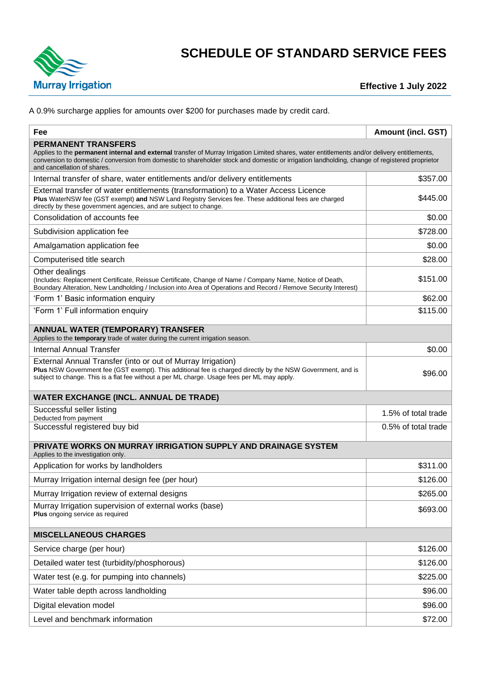

## **SCHEDULE OF STANDARD SERVICE FEES**

**Effective 1 July 2022**

A 0.9% surcharge applies for amounts over \$200 for purchases made by credit card.

| Fee                                                                                                                                                                                                                                                                                                                                                          | <b>Amount (incl. GST)</b> |  |  |  |  |
|--------------------------------------------------------------------------------------------------------------------------------------------------------------------------------------------------------------------------------------------------------------------------------------------------------------------------------------------------------------|---------------------------|--|--|--|--|
| <b>PERMANENT TRANSFERS</b><br>Applies to the permanent internal and external transfer of Murray Irrigation Limited shares, water entitlements and/or delivery entitlements,<br>conversion to domestic / conversion from domestic to shareholder stock and domestic or irrigation landholding, change of registered proprietor<br>and cancellation of shares. |                           |  |  |  |  |
| Internal transfer of share, water entitlements and/or delivery entitlements                                                                                                                                                                                                                                                                                  | \$357.00                  |  |  |  |  |
| External transfer of water entitlements (transformation) to a Water Access Licence<br>Plus WaterNSW fee (GST exempt) and NSW Land Registry Services fee. These additional fees are charged<br>directly by these government agencies, and are subject to change.                                                                                              | \$445.00                  |  |  |  |  |
| Consolidation of accounts fee                                                                                                                                                                                                                                                                                                                                | \$0.00                    |  |  |  |  |
| Subdivision application fee                                                                                                                                                                                                                                                                                                                                  | \$728.00                  |  |  |  |  |
| Amalgamation application fee                                                                                                                                                                                                                                                                                                                                 | \$0.00                    |  |  |  |  |
| Computerised title search                                                                                                                                                                                                                                                                                                                                    | \$28.00                   |  |  |  |  |
| Other dealings<br>(Includes: Replacement Certificate, Reissue Certificate, Change of Name / Company Name, Notice of Death,<br>Boundary Alteration, New Landholding / Inclusion into Area of Operations and Record / Remove Security Interest)                                                                                                                | \$151.00                  |  |  |  |  |
| 'Form 1' Basic information enquiry                                                                                                                                                                                                                                                                                                                           | \$62.00                   |  |  |  |  |
| 'Form 1' Full information enquiry                                                                                                                                                                                                                                                                                                                            | \$115.00                  |  |  |  |  |
| <b>ANNUAL WATER (TEMPORARY) TRANSFER</b><br>Applies to the temporary trade of water during the current irrigation season.                                                                                                                                                                                                                                    |                           |  |  |  |  |
| <b>Internal Annual Transfer</b>                                                                                                                                                                                                                                                                                                                              | \$0.00                    |  |  |  |  |
| External Annual Transfer (into or out of Murray Irrigation)<br>Plus NSW Government fee (GST exempt). This additional fee is charged directly by the NSW Government, and is<br>subject to change. This is a flat fee without a per ML charge. Usage fees per ML may apply.                                                                                    | \$96.00                   |  |  |  |  |
| <b>WATER EXCHANGE (INCL. ANNUAL DE TRADE)</b>                                                                                                                                                                                                                                                                                                                |                           |  |  |  |  |
| Successful seller listing<br>Deducted from payment                                                                                                                                                                                                                                                                                                           | 1.5% of total trade       |  |  |  |  |
| Successful registered buy bid                                                                                                                                                                                                                                                                                                                                | 0.5% of total trade       |  |  |  |  |
| PRIVATE WORKS ON MURRAY IRRIGATION SUPPLY AND DRAINAGE SYSTEM<br>Applies to the investigation only.                                                                                                                                                                                                                                                          |                           |  |  |  |  |
| Application for works by landholders                                                                                                                                                                                                                                                                                                                         | \$311.00                  |  |  |  |  |
| Murray Irrigation internal design fee (per hour)                                                                                                                                                                                                                                                                                                             | \$126.00                  |  |  |  |  |
| Murray Irrigation review of external designs                                                                                                                                                                                                                                                                                                                 | \$265.00                  |  |  |  |  |
| Murray Irrigation supervision of external works (base)<br>Plus ongoing service as required                                                                                                                                                                                                                                                                   | \$693.00                  |  |  |  |  |
| <b>MISCELLANEOUS CHARGES</b>                                                                                                                                                                                                                                                                                                                                 |                           |  |  |  |  |
| Service charge (per hour)                                                                                                                                                                                                                                                                                                                                    | \$126.00                  |  |  |  |  |
| Detailed water test (turbidity/phosphorous)                                                                                                                                                                                                                                                                                                                  | \$126.00                  |  |  |  |  |
| Water test (e.g. for pumping into channels)                                                                                                                                                                                                                                                                                                                  | \$225.00                  |  |  |  |  |
| Water table depth across landholding                                                                                                                                                                                                                                                                                                                         | \$96.00                   |  |  |  |  |
| Digital elevation model                                                                                                                                                                                                                                                                                                                                      | \$96.00                   |  |  |  |  |
| Level and benchmark information                                                                                                                                                                                                                                                                                                                              | \$72.00                   |  |  |  |  |